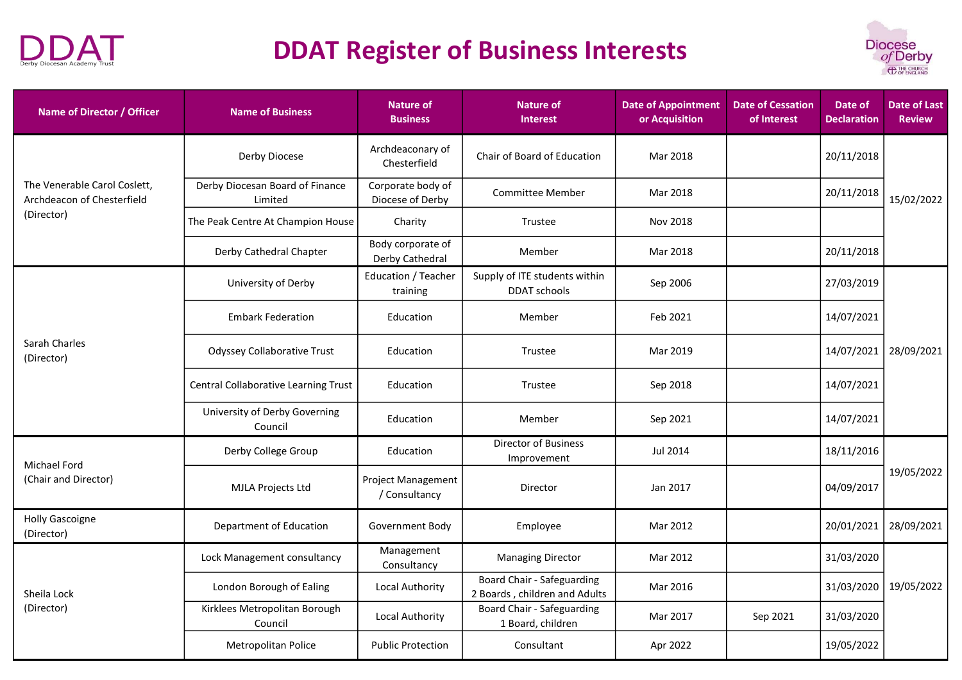



| Name of Director / Officer                                 | <b>Name of Business</b>                    | <b>Nature of</b><br><b>Business</b>        | <b>Nature of</b><br><b>Interest</b>                         | <b>Date of Appointment</b><br>or Acquisition | <b>Date of Cessation</b><br>of Interest | Date of<br><b>Declaration</b> | <b>Date of Last</b><br><b>Review</b> |
|------------------------------------------------------------|--------------------------------------------|--------------------------------------------|-------------------------------------------------------------|----------------------------------------------|-----------------------------------------|-------------------------------|--------------------------------------|
| The Venerable Carol Coslett,<br>Archdeacon of Chesterfield | Derby Diocese                              | Archdeaconary of<br>Chesterfield           | Chair of Board of Education                                 | Mar 2018                                     |                                         | 20/11/2018                    | 15/02/2022                           |
|                                                            | Derby Diocesan Board of Finance<br>Limited | Corporate body of<br>Diocese of Derby      | <b>Committee Member</b>                                     | Mar 2018                                     |                                         | 20/11/2018                    |                                      |
| (Director)                                                 | The Peak Centre At Champion House          | Charity                                    | Trustee                                                     | Nov 2018                                     |                                         |                               |                                      |
|                                                            | Derby Cathedral Chapter                    | Body corporate of<br>Derby Cathedral       | Member                                                      | Mar 2018                                     |                                         | 20/11/2018                    |                                      |
|                                                            | University of Derby                        | Education / Teacher<br>training            | Supply of ITE students within<br>DDAT schools               | Sep 2006                                     |                                         | 27/03/2019                    |                                      |
|                                                            | <b>Embark Federation</b>                   | Education                                  | Member                                                      | Feb 2021                                     |                                         | 14/07/2021                    | 28/09/2021                           |
| Sarah Charles<br>(Director)                                | <b>Odyssey Collaborative Trust</b>         | Education                                  | Trustee                                                     | Mar 2019                                     |                                         | 14/07/2021                    |                                      |
|                                                            | Central Collaborative Learning Trust       | Education                                  | Trustee                                                     | Sep 2018                                     |                                         | 14/07/2021                    |                                      |
|                                                            | University of Derby Governing<br>Council   | Education                                  | Member                                                      | Sep 2021                                     |                                         | 14/07/2021                    |                                      |
| Michael Ford                                               | Derby College Group                        | Education                                  | <b>Director of Business</b><br>Improvement                  | Jul 2014                                     |                                         | 18/11/2016                    |                                      |
| (Chair and Director)                                       | MJLA Projects Ltd                          | <b>Project Management</b><br>/ Consultancy | Director                                                    | Jan 2017                                     |                                         | 04/09/2017                    | 19/05/2022                           |
| <b>Holly Gascoigne</b><br>(Director)                       | Department of Education                    | Government Body                            | Employee                                                    | Mar 2012                                     |                                         | 20/01/2021                    | 28/09/2021                           |
|                                                            | Lock Management consultancy                | Management<br>Consultancy                  | <b>Managing Director</b>                                    | Mar 2012                                     |                                         | 31/03/2020                    |                                      |
| Sheila Lock<br>(Director)                                  | London Borough of Ealing                   | Local Authority                            | Board Chair - Safeguarding<br>2 Boards, children and Adults | Mar 2016                                     |                                         | 31/03/2020                    | 19/05/2022                           |
|                                                            | Kirklees Metropolitan Borough<br>Council   | Local Authority                            | Board Chair - Safeguarding<br>1 Board, children             | Mar 2017                                     | Sep 2021                                | 31/03/2020                    |                                      |
|                                                            | Metropolitan Police                        | <b>Public Protection</b>                   | Consultant                                                  | Apr 2022                                     |                                         | 19/05/2022                    |                                      |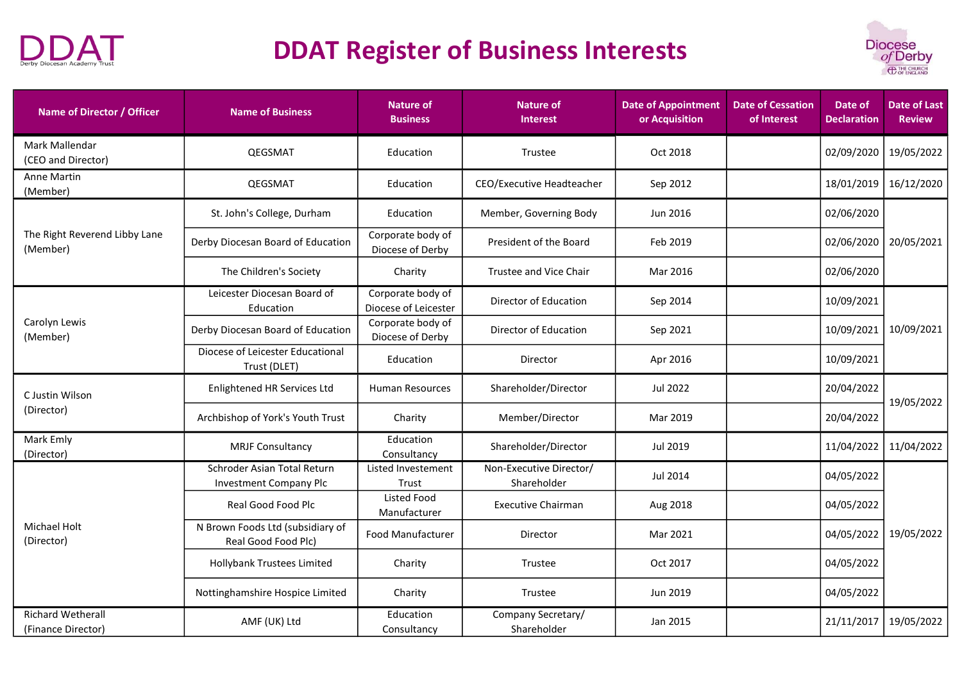



| Name of Director / Officer                     | <b>Name of Business</b>                                      | Nature of<br><b>Business</b>              | <b>Nature of</b><br><b>Interest</b>    | <b>Date of Appointment</b><br>or Acquisition | <b>Date of Cessation</b><br>of Interest | Date of<br><b>Declaration</b> | <b>Date of Last</b><br><b>Review</b> |
|------------------------------------------------|--------------------------------------------------------------|-------------------------------------------|----------------------------------------|----------------------------------------------|-----------------------------------------|-------------------------------|--------------------------------------|
| Mark Mallendar<br>(CEO and Director)           | QEGSMAT                                                      | Education                                 | Trustee                                | Oct 2018                                     |                                         | 02/09/2020                    | 19/05/2022                           |
| <b>Anne Martin</b><br>(Member)                 | QEGSMAT                                                      | Education                                 | CEO/Executive Headteacher              | Sep 2012                                     |                                         | 18/01/2019                    | 16/12/2020                           |
|                                                | St. John's College, Durham                                   | Education                                 | Member, Governing Body                 | Jun 2016                                     |                                         | 02/06/2020                    |                                      |
| The Right Reverend Libby Lane<br>(Member)      | Derby Diocesan Board of Education                            | Corporate body of<br>Diocese of Derby     | President of the Board                 | Feb 2019                                     |                                         | 02/06/2020                    | 20/05/2021                           |
|                                                | The Children's Society                                       | Charity                                   | Trustee and Vice Chair                 | Mar 2016                                     |                                         | 02/06/2020                    |                                      |
|                                                | Leicester Diocesan Board of<br>Education                     | Corporate body of<br>Diocese of Leicester | Director of Education                  | Sep 2014                                     |                                         | 10/09/2021                    | 10/09/2021                           |
| Carolyn Lewis<br>(Member)                      | Derby Diocesan Board of Education                            | Corporate body of<br>Diocese of Derby     | Director of Education                  | Sep 2021                                     |                                         | 10/09/2021                    |                                      |
|                                                | Diocese of Leicester Educational<br>Trust (DLET)             | Education                                 | Director                               | Apr 2016                                     |                                         | 10/09/2021                    |                                      |
| C Justin Wilson                                | Enlightened HR Services Ltd                                  | <b>Human Resources</b>                    | Shareholder/Director                   | Jul 2022                                     |                                         | 20/04/2022                    | 19/05/2022                           |
| (Director)                                     | Archbishop of York's Youth Trust                             | Charity                                   | Member/Director                        | Mar 2019                                     |                                         | 20/04/2022                    |                                      |
| Mark Emly<br>(Director)                        | <b>MRJF Consultancy</b>                                      | Education<br>Consultancy                  | Shareholder/Director                   | Jul 2019                                     |                                         | 11/04/2022                    | 11/04/2022                           |
| Michael Holt<br>(Director)                     | Schroder Asian Total Return<br><b>Investment Company Plc</b> | Listed Investement<br>Trust               | Non-Executive Director/<br>Shareholder | Jul 2014                                     |                                         | 04/05/2022                    | 19/05/2022                           |
|                                                | Real Good Food Plc                                           | Listed Food<br>Manufacturer               | <b>Executive Chairman</b>              | Aug 2018                                     |                                         | 04/05/2022                    |                                      |
|                                                | N Brown Foods Ltd (subsidiary of<br>Real Good Food Plc)      | Food Manufacturer                         | Director                               | Mar 2021                                     |                                         | 04/05/2022                    |                                      |
|                                                | <b>Hollybank Trustees Limited</b>                            | Charity                                   | Trustee                                | Oct 2017                                     |                                         | 04/05/2022                    |                                      |
|                                                | Nottinghamshire Hospice Limited                              | Charity                                   | Trustee                                | Jun 2019                                     |                                         | 04/05/2022                    |                                      |
| <b>Richard Wetherall</b><br>(Finance Director) | AMF (UK) Ltd                                                 | Education<br>Consultancy                  | Company Secretary/<br>Shareholder      | Jan 2015                                     |                                         | 21/11/2017                    | 19/05/2022                           |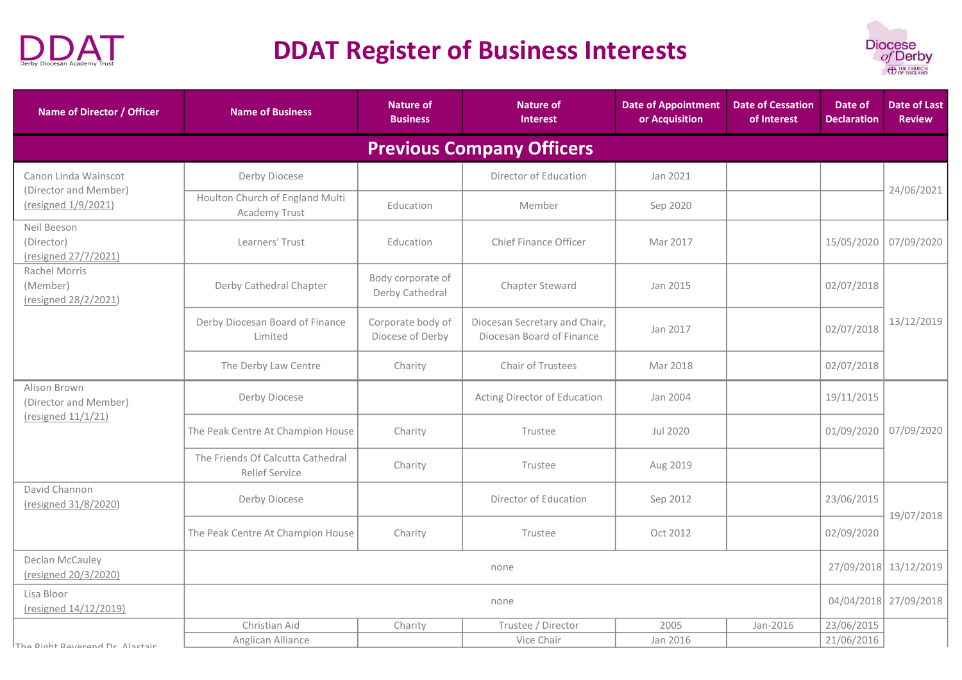



| <b>Name of Director / Officer</b>                 | <b>Name of Business</b>                                    | <b>Nature of</b><br><b>Business</b>   | <b>Nature of</b><br><b>Interest</b>                        | <b>Date of Appointment</b><br>or Acquisition | <b>Date of Cessation</b><br>of Interest | Date of<br><b>Declaration</b> | <b>Date of Last</b><br><b>Review</b> |
|---------------------------------------------------|------------------------------------------------------------|---------------------------------------|------------------------------------------------------------|----------------------------------------------|-----------------------------------------|-------------------------------|--------------------------------------|
|                                                   |                                                            |                                       | <b>Previous Company Officers</b>                           |                                              |                                         |                               |                                      |
| Canon Linda Wainscot                              | Derby Diocese                                              |                                       | Director of Education                                      | Jan 2021                                     |                                         |                               | 24/06/2021                           |
| (Director and Member)<br>(resigned 1/9/2021)      | Houlton Church of England Multi<br>Academy Trust           | Education                             | Member                                                     | Sep 2020                                     |                                         |                               |                                      |
| Neil Beeson<br>(Director)<br>(resigned 27/7/2021) | Learners' Trust                                            | Education                             | Chief Finance Officer                                      | Mar 2017                                     |                                         | 15/05/2020                    | 07/09/2020                           |
| Rachel Morris<br>(Member)<br>(resigned 28/2/2021) | Derby Cathedral Chapter                                    | Body corporate of<br>Derby Cathedral  | Chapter Steward                                            | Jan 2015                                     |                                         | 02/07/2018                    |                                      |
|                                                   | Derby Diocesan Board of Finance<br>Limited                 | Corporate body of<br>Diocese of Derby | Diocesan Secretary and Chair,<br>Diocesan Board of Finance | Jan 2017                                     |                                         | 02/07/2018                    | 13/12/2019                           |
|                                                   | The Derby Law Centre                                       | Charity                               | Chair of Trustees                                          | Mar 2018                                     |                                         | 02/07/2018                    |                                      |
| Alison Brown<br>(Director and Member)             | Derby Diocese                                              |                                       | Acting Director of Education                               | Jan 2004                                     |                                         | 19/11/2015                    |                                      |
| (resigned 11/1/21)                                | The Peak Centre At Champion House                          | Charity                               | Trustee                                                    | Jul 2020                                     |                                         | 01/09/2020                    | 07/09/2020                           |
|                                                   | The Friends Of Calcutta Cathedral<br><b>Relief Service</b> | Charity                               | Trustee                                                    | Aug 2019                                     |                                         |                               |                                      |
| David Channon<br>(resigned 31/8/2020)             | Derby Diocese                                              |                                       | Director of Education                                      | Sep 2012                                     |                                         | 23/06/2015                    | 19/07/2018                           |
|                                                   | The Peak Centre At Champion House                          | Charity                               | Trustee                                                    | Oct 2012                                     |                                         | 02/09/2020                    |                                      |
| Declan McCauley<br>(resigned 20/3/2020)           | none                                                       |                                       |                                                            |                                              |                                         |                               | 27/09/2018 13/12/2019                |
| Lisa Bloor<br>(resigned 14/12/2019)               | none                                                       |                                       |                                                            |                                              |                                         |                               | 04/04/2018 27/09/2018                |
|                                                   | Christian Aid                                              | Charity                               | Trustee / Director                                         | 2005                                         | Jan-2016                                | 23/06/2015                    |                                      |
| The Right Reverend Dr Alactair                    | Anglican Alliance                                          |                                       | Vice Chair                                                 | Jan 2016                                     |                                         | 21/06/2016                    |                                      |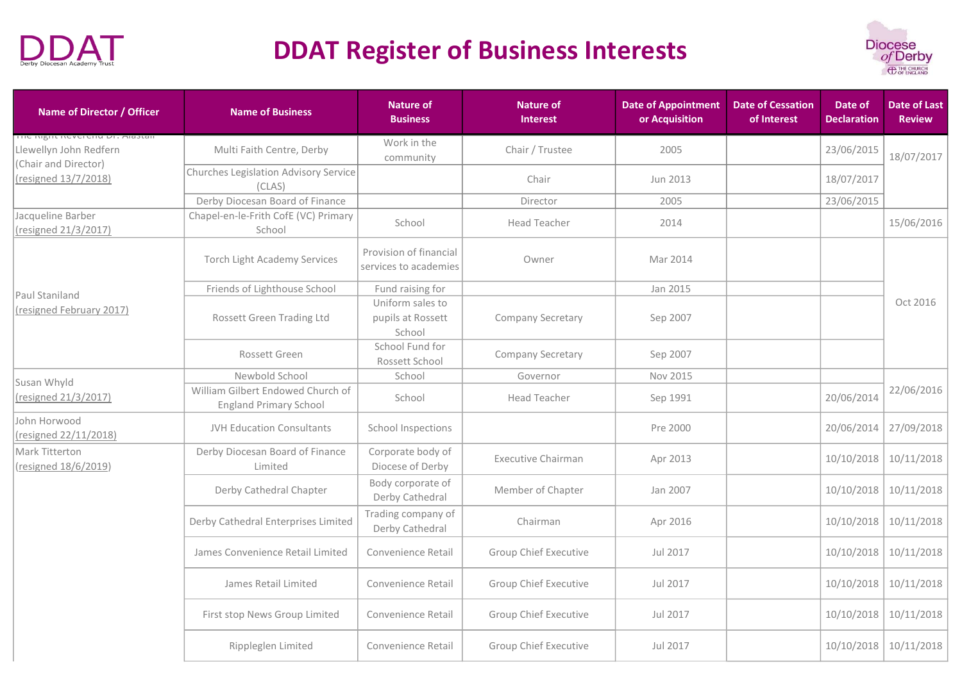



| Name of Director / Officer                                                     | <b>Name of Business</b>                                            | <b>Nature of</b><br><b>Business</b>             | <b>Nature of</b><br><b>Interest</b> | <b>Date of Appointment</b><br>or Acquisition | <b>Date of Cessation</b><br>of Interest | Date of<br><b>Declaration</b> | <b>Date of Last</b><br><b>Review</b> |
|--------------------------------------------------------------------------------|--------------------------------------------------------------------|-------------------------------------------------|-------------------------------------|----------------------------------------------|-----------------------------------------|-------------------------------|--------------------------------------|
| THE INSITENCTED UP . MIGSTON<br>Llewellyn John Redfern<br>(Chair and Director) | Multi Faith Centre, Derby                                          | Work in the<br>community                        | Chair / Trustee                     | 2005                                         |                                         | 23/06/2015                    | 18/07/2017                           |
| (resigned 13/7/2018)                                                           | Churches Legislation Advisory Service<br>(CLASS)                   |                                                 | Chair                               | Jun 2013                                     |                                         | 18/07/2017                    |                                      |
|                                                                                | Derby Diocesan Board of Finance                                    |                                                 | Director                            | 2005                                         |                                         | 23/06/2015                    |                                      |
| Jacqueline Barber<br>(resigned 21/3/2017)                                      | Chapel-en-le-Frith CofE (VC) Primary<br>School                     | School                                          | <b>Head Teacher</b>                 | 2014                                         |                                         |                               | 15/06/2016                           |
|                                                                                | <b>Torch Light Academy Services</b>                                | Provision of financial<br>services to academies | Owner                               | Mar 2014                                     |                                         |                               |                                      |
|                                                                                | Friends of Lighthouse School                                       | Fund raising for                                |                                     | Jan 2015                                     |                                         |                               |                                      |
| Paul Staniland<br>(resigned February 2017)                                     | Rossett Green Trading Ltd                                          | Uniform sales to<br>pupils at Rossett<br>School | Company Secretary                   | Sep 2007                                     |                                         |                               | Oct 2016                             |
|                                                                                | Rossett Green                                                      | School Fund for<br>Rossett School               | Company Secretary                   | Sep 2007                                     |                                         |                               |                                      |
| Susan Whyld                                                                    | Newbold School                                                     | School                                          | Governor                            | Nov 2015                                     |                                         |                               |                                      |
| (resigned 21/3/2017)                                                           | William Gilbert Endowed Church of<br><b>England Primary School</b> | School                                          | Head Teacher                        | Sep 1991                                     |                                         | 20/06/2014                    | 22/06/2016                           |
| John Horwood<br>(resigned 22/11/2018)                                          | JVH Education Consultants                                          | School Inspections                              |                                     | Pre 2000                                     |                                         | 20/06/2014                    | 27/09/2018                           |
| Mark Titterton<br>(resigned 18/6/2019)                                         | Derby Diocesan Board of Finance<br>Limited                         | Corporate body of<br>Diocese of Derby           | <b>Executive Chairman</b>           | Apr 2013                                     |                                         | 10/10/2018                    | 10/11/2018                           |
|                                                                                | Derby Cathedral Chapter                                            | Body corporate of<br>Derby Cathedral            | Member of Chapter                   | Jan 2007                                     |                                         | 10/10/2018                    | 10/11/2018                           |
|                                                                                | Derby Cathedral Enterprises Limited                                | Trading company of<br>Derby Cathedral           | Chairman                            | Apr 2016                                     |                                         | 10/10/2018                    | 10/11/2018                           |
|                                                                                | James Convenience Retail Limited                                   | Convenience Retail                              | <b>Group Chief Executive</b>        | Jul 2017                                     |                                         | 10/10/2018                    | 10/11/2018                           |
|                                                                                | James Retail Limited                                               | Convenience Retail                              | <b>Group Chief Executive</b>        | Jul 2017                                     |                                         | 10/10/2018                    | 10/11/2018                           |
|                                                                                | First stop News Group Limited                                      | Convenience Retail                              | <b>Group Chief Executive</b>        | Jul 2017                                     |                                         |                               | 10/10/2018 10/11/2018                |
|                                                                                | Rippleglen Limited                                                 | Convenience Retail                              | <b>Group Chief Executive</b>        | Jul 2017                                     |                                         |                               | 10/10/2018 10/11/2018                |